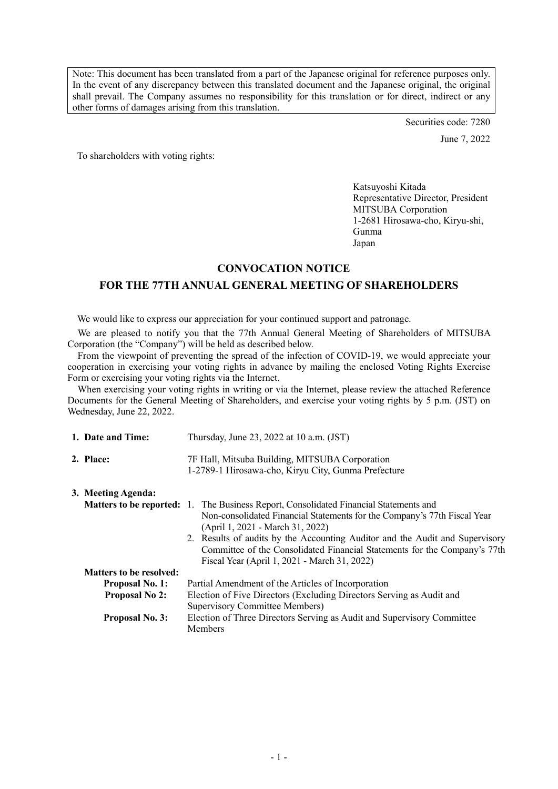Note: This document has been translated from a part of the Japanese original for reference purposes only. In the event of any discrepancy between this translated document and the Japanese original, the original shall prevail. The Company assumes no responsibility for this translation or for direct, indirect or any other forms of damages arising from this translation.

> Securities code: 7280 June 7, 2022

To shareholders with voting rights:

Katsuyoshi Kitada Representative Director, President MITSUBA Corporation 1-2681 Hirosawa-cho, Kiryu-shi, Gunma Japan

### **CONVOCATION NOTICE**

# **FOR THE 77TH ANNUAL GENERAL MEETING OF SHAREHOLDERS**

We would like to express our appreciation for your continued support and patronage.

We are pleased to notify you that the 77th Annual General Meeting of Shareholders of MITSUBA Corporation (the "Company") will be held as described below.

From the viewpoint of preventing the spread of the infection of COVID-19, we would appreciate your cooperation in exercising your voting rights in advance by mailing the enclosed Voting Rights Exercise Form or exercising your voting rights via the Internet.

When exercising your voting rights in writing or via the Internet, please review the attached Reference Documents for the General Meeting of Shareholders, and exercise your voting rights by 5 p.m. (JST) on Wednesday, June 22, 2022.

| 1. Date and Time:              | Thursday, June 23, 2022 at 10 a.m. (JST)                                                                                                                                                                     |
|--------------------------------|--------------------------------------------------------------------------------------------------------------------------------------------------------------------------------------------------------------|
| 2. Place:                      | 7F Hall, Mitsuba Building, MITSUBA Corporation<br>1-2789-1 Hirosawa-cho, Kiryu City, Gunma Prefecture                                                                                                        |
| 3. Meeting Agenda:             |                                                                                                                                                                                                              |
|                                | <b>Matters to be reported:</b> 1. The Business Report, Consolidated Financial Statements and<br>Non-consolidated Financial Statements for the Company's 77th Fiscal Year<br>(April 1, 2021 - March 31, 2022) |
|                                | 2. Results of audits by the Accounting Auditor and the Audit and Supervisory<br>Committee of the Consolidated Financial Statements for the Company's 77th<br>Fiscal Year (April 1, 2021 - March 31, 2022)    |
| <b>Matters to be resolved:</b> |                                                                                                                                                                                                              |
| <b>Proposal No. 1:</b>         | Partial Amendment of the Articles of Incorporation                                                                                                                                                           |
| <b>Proposal No 2:</b>          | Election of Five Directors (Excluding Directors Serving as Audit and<br>Supervisory Committee Members)                                                                                                       |
| <b>Proposal No. 3:</b>         | Election of Three Directors Serving as Audit and Supervisory Committee<br>Members                                                                                                                            |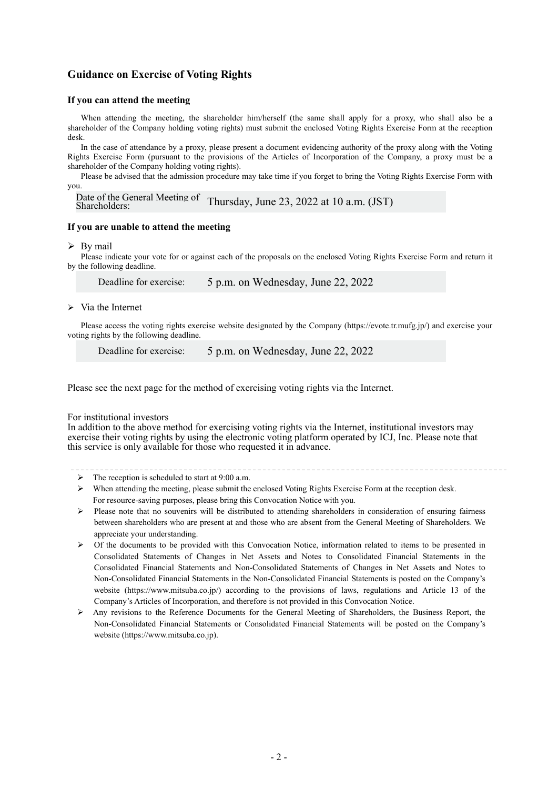## **Guidance on Exercise of Voting Rights**

### **If you can attend the meeting**

 When attending the meeting, the shareholder him/herself (the same shall apply for a proxy, who shall also be a shareholder of the Company holding voting rights) must submit the enclosed Voting Rights Exercise Form at the reception desk.

 In the case of attendance by a proxy, please present a document evidencing authority of the proxy along with the Voting Rights Exercise Form (pursuant to the provisions of the Articles of Incorporation of the Company, a proxy must be a shareholder of the Company holding voting rights).

 Please be advised that the admission procedure may take time if you forget to bring the Voting Rights Exercise Form with you.

```
Date of the General Meeting of<br>Shareholders:
                        Thursday, June 23, 2022 at 10 a.m. (JST)
```
### **If you are unable to attend the meeting**

#### $\triangleright$  By mail

 Please indicate your vote for or against each of the proposals on the enclosed Voting Rights Exercise Form and return it by the following deadline.

Deadline for exercise: 5 p.m. on Wednesday, June 22, 2022

#### $\triangleright$  Via the Internet

 Please access the voting rights exercise website designated by the Company (https://evote.tr.mufg.jp/) and exercise your voting rights by the following deadline.

Deadline for exercise: 5 p.m. on Wednesday, June 22, 2022

Please see the next page for the method of exercising voting rights via the Internet.

#### For institutional investors

In addition to the above method for exercising voting rights via the Internet, institutional investors may exercise their voting rights by using the electronic voting platform operated by ICJ, Inc. Please note that this service is only available for those who requested it in advance.

- $\triangleright$  The reception is scheduled to start at 9:00 a.m.
- $\triangleright$  When attending the meeting, please submit the enclosed Voting Rights Exercise Form at the reception desk. For resource-saving purposes, please bring this Convocation Notice with you.
- $\triangleright$  Please note that no souvenirs will be distributed to attending shareholders in consideration of ensuring fairness between shareholders who are present at and those who are absent from the General Meeting of Shareholders. We appreciate your understanding.
- $\triangleright$  Of the documents to be provided with this Convocation Notice, information related to items to be presented in Consolidated Statements of Changes in Net Assets and Notes to Consolidated Financial Statements in the Consolidated Financial Statements and Non-Consolidated Statements of Changes in Net Assets and Notes to Non-Consolidated Financial Statements in the Non-Consolidated Financial Statements is posted on the Company's website (https://www.mitsuba.co.jp/) according to the provisions of laws, regulations and Article 13 of the Company's Articles of Incorporation, and therefore is not provided in this Convocation Notice.
- $\triangleright$  Any revisions to the Reference Documents for the General Meeting of Shareholders, the Business Report, the Non-Consolidated Financial Statements or Consolidated Financial Statements will be posted on the Company's website (https://www.mitsuba.co.jp).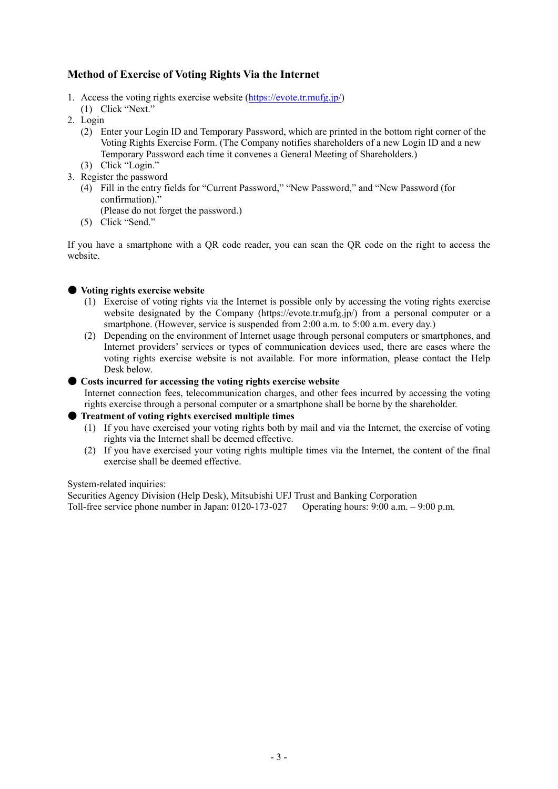# **Method of Exercise of Voting Rights Via the Internet**

- 1. Access the voting rights exercise website (https://evote.tr.mufg.jp/)
- (1) Click "Next."
- 2. Login
	- (2) Enter your Login ID and Temporary Password, which are printed in the bottom right corner of the Voting Rights Exercise Form. (The Company notifies shareholders of a new Login ID and a new Temporary Password each time it convenes a General Meeting of Shareholders.)
- (3) Click "Login." 3. Register the password
	- (4) Fill in the entry fields for "Current Password," "New Password," and "New Password (for confirmation)."
		- (Please do not forget the password.)
	- (5) Click "Send."

If you have a smartphone with a QR code reader, you can scan the QR code on the right to access the website.

## ● **Voting rights exercise website**

- (1) Exercise of voting rights via the Internet is possible only by accessing the voting rights exercise website designated by the Company (https://evote.tr.mufg.jp/) from a personal computer or a smartphone. (However, service is suspended from 2:00 a.m. to 5:00 a.m. every day.)
- (2) Depending on the environment of Internet usage through personal computers or smartphones, and Internet providers' services or types of communication devices used, there are cases where the voting rights exercise website is not available. For more information, please contact the Help Desk below.

## ● **Costs incurred for accessing the voting rights exercise website**

Internet connection fees, telecommunication charges, and other fees incurred by accessing the voting rights exercise through a personal computer or a smartphone shall be borne by the shareholder.

## ● **Treatment of voting rights exercised multiple times**

- (1) If you have exercised your voting rights both by mail and via the Internet, the exercise of voting rights via the Internet shall be deemed effective.
- (2) If you have exercised your voting rights multiple times via the Internet, the content of the final exercise shall be deemed effective.

System-related inquiries:

Securities Agency Division (Help Desk), Mitsubishi UFJ Trust and Banking Corporation Toll-free service phone number in Japan: 0120-173-027 Operating hours: 9:00 a.m. – 9:00 p.m.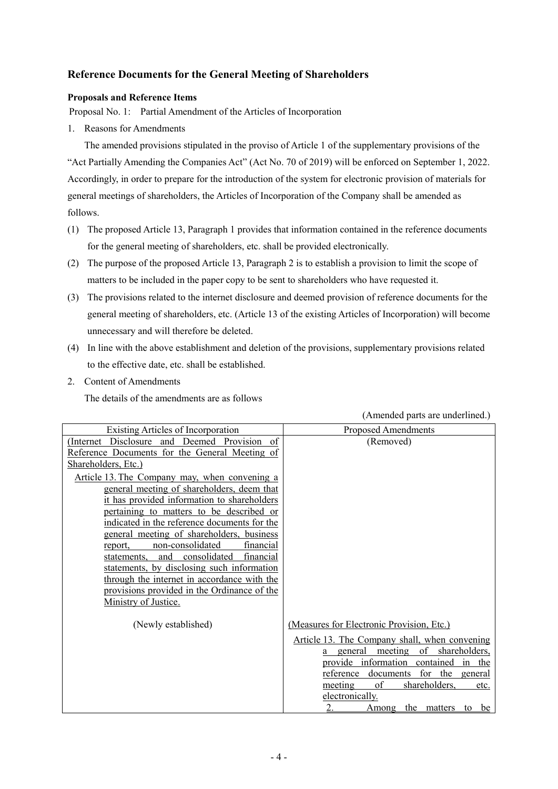# **Reference Documents for the General Meeting of Shareholders**

## **Proposals and Reference Items**

Proposal No. 1: Partial Amendment of the Articles of Incorporation

1. Reasons for Amendments

The amended provisions stipulated in the proviso of Article 1 of the supplementary provisions of the "Act Partially Amending the Companies Act" (Act No. 70 of 2019) will be enforced on September 1, 2022. Accordingly, in order to prepare for the introduction of the system for electronic provision of materials for general meetings of shareholders, the Articles of Incorporation of the Company shall be amended as follows.

- (1) The proposed Article 13, Paragraph 1 provides that information contained in the reference documents for the general meeting of shareholders, etc. shall be provided electronically.
- (2) The purpose of the proposed Article 13, Paragraph 2 is to establish a provision to limit the scope of matters to be included in the paper copy to be sent to shareholders who have requested it.
- (3) The provisions related to the internet disclosure and deemed provision of reference documents for the general meeting of shareholders, etc. (Article 13 of the existing Articles of Incorporation) will become unnecessary and will therefore be deleted.
- (4) In line with the above establishment and deletion of the provisions, supplementary provisions related to the effective date, etc. shall be established.
- 2. Content of Amendments

The details of the amendments are as follows

| Existing Articles of Incorporation                                                          | Proposed Amendments                           |  |  |
|---------------------------------------------------------------------------------------------|-----------------------------------------------|--|--|
| (Internet Disclosure and Deemed Provision of                                                | (Removed)                                     |  |  |
| Reference Documents for the General Meeting of<br>Shareholders, Etc.)                       |                                               |  |  |
|                                                                                             |                                               |  |  |
| Article 13. The Company may, when convening a<br>general meeting of shareholders, deem that |                                               |  |  |
| it has provided information to shareholders                                                 |                                               |  |  |
| pertaining to matters to be described or                                                    |                                               |  |  |
| indicated in the reference documents for the<br>general meeting of shareholders, business   |                                               |  |  |
| non-consolidated<br>report,<br>financial                                                    |                                               |  |  |
| consolidated<br>financial<br>statements.<br>and                                             |                                               |  |  |
| statements, by disclosing such information                                                  |                                               |  |  |
| through the internet in accordance with the                                                 |                                               |  |  |
| provisions provided in the Ordinance of the                                                 |                                               |  |  |
| Ministry of Justice.                                                                        |                                               |  |  |
|                                                                                             |                                               |  |  |
| (Newly established)                                                                         | (Measures for Electronic Provision, Etc.)     |  |  |
|                                                                                             | Article 13. The Company shall, when convening |  |  |
|                                                                                             | general meeting of shareholders,<br>a         |  |  |
|                                                                                             | provide information contained in the          |  |  |
|                                                                                             | for<br>documents<br>the general<br>reference  |  |  |
|                                                                                             | of<br>shareholders,<br>meeting<br>etc.        |  |  |
|                                                                                             | electronically.                               |  |  |
|                                                                                             | 2.<br>the<br>be<br>matters<br>Among<br>to     |  |  |

(Amended parts are underlined.)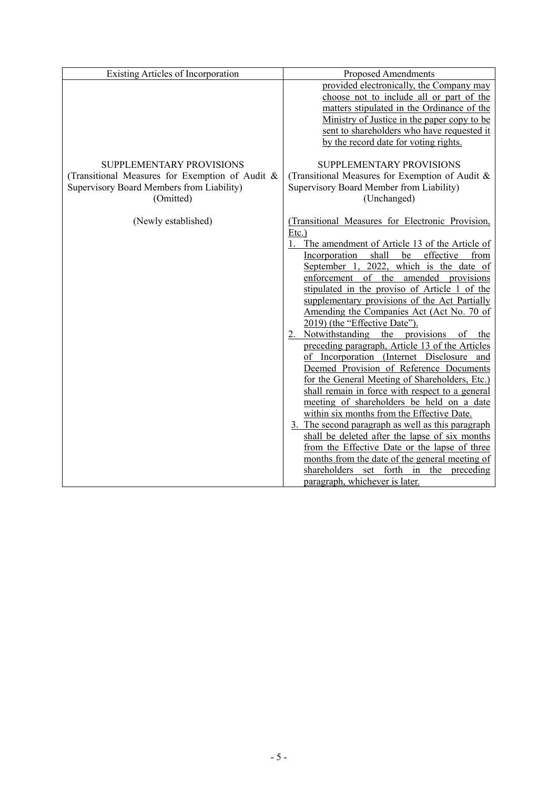| <b>Existing Articles of Incorporation</b>                                                                                             | <b>Proposed Amendments</b>                                                                                                                                                                                                                                                                                                                                                                                                                                                                                                                                                                                                                                                                                                                                                                                                                                                                                                                                                                                                                                                                                           |
|---------------------------------------------------------------------------------------------------------------------------------------|----------------------------------------------------------------------------------------------------------------------------------------------------------------------------------------------------------------------------------------------------------------------------------------------------------------------------------------------------------------------------------------------------------------------------------------------------------------------------------------------------------------------------------------------------------------------------------------------------------------------------------------------------------------------------------------------------------------------------------------------------------------------------------------------------------------------------------------------------------------------------------------------------------------------------------------------------------------------------------------------------------------------------------------------------------------------------------------------------------------------|
|                                                                                                                                       | provided electronically, the Company may<br>choose not to include all or part of the<br>matters stipulated in the Ordinance of the<br>Ministry of Justice in the paper copy to be<br>sent to shareholders who have requested it<br>by the record date for voting rights.                                                                                                                                                                                                                                                                                                                                                                                                                                                                                                                                                                                                                                                                                                                                                                                                                                             |
| SUPPLEMENTARY PROVISIONS<br>(Transitional Measures for Exemption of Audit &<br>Supervisory Board Members from Liability)<br>(Omitted) | <b>SUPPLEMENTARY PROVISIONS</b><br>(Transitional Measures for Exemption of Audit &<br>Supervisory Board Member from Liability)<br>(Unchanged)                                                                                                                                                                                                                                                                                                                                                                                                                                                                                                                                                                                                                                                                                                                                                                                                                                                                                                                                                                        |
| (Newly established)                                                                                                                   | (Transitional Measures for Electronic Provision,<br>$Etc.$ )<br>1. The amendment of Article 13 of the Article of<br>Incorporation shall<br>be<br>effective<br>from<br>September 1, 2022, which is the date of<br>enforcement of the amended provisions<br>stipulated in the proviso of Article 1 of the<br>supplementary provisions of the Act Partially<br>Amending the Companies Act (Act No. 70 of<br>2019) (the "Effective Date").<br>2. Notwithstanding the provisions of the<br>preceding paragraph, Article 13 of the Articles<br>of Incorporation (Internet Disclosure and<br>Deemed Provision of Reference Documents<br>for the General Meeting of Shareholders, Etc.)<br>shall remain in force with respect to a general<br>meeting of shareholders be held on a date<br>within six months from the Effective Date.<br>3. The second paragraph as well as this paragraph<br>shall be deleted after the lapse of six months<br>from the Effective Date or the lapse of three<br>months from the date of the general meeting of<br>shareholders set forth in the preceding<br>paragraph, whichever is later. |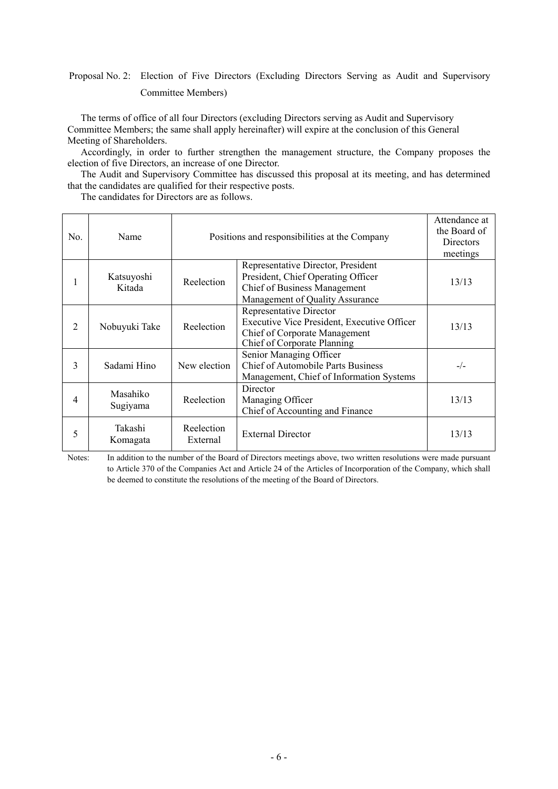# Proposal No. 2: Election of Five Directors (Excluding Directors Serving as Audit and Supervisory Committee Members)

The terms of office of all four Directors (excluding Directors serving as Audit and Supervisory Committee Members; the same shall apply hereinafter) will expire at the conclusion of this General Meeting of Shareholders.

Accordingly, in order to further strengthen the management structure, the Company proposes the election of five Directors, an increase of one Director.

The Audit and Supervisory Committee has discussed this proposal at its meeting, and has determined that the candidates are qualified for their respective posts.

The candidates for Directors are as follows.

| No.            | Name                 |                        | Positions and responsibilities at the Company                                                                                               | Attendance at<br>the Board of<br><b>Directors</b><br>meetings |
|----------------|----------------------|------------------------|---------------------------------------------------------------------------------------------------------------------------------------------|---------------------------------------------------------------|
| 1              | Katsuyoshi<br>Kitada | Reelection             | Representative Director, President<br>President, Chief Operating Officer<br>Chief of Business Management<br>Management of Quality Assurance | 13/13                                                         |
| $\mathfrak{D}$ | Nobuyuki Take        | Reelection             | Representative Director<br>Executive Vice President, Executive Officer<br>Chief of Corporate Management<br>Chief of Corporate Planning      | 13/13                                                         |
| 3              | Sadami Hino          | New election           | Senior Managing Officer<br><b>Chief of Automobile Parts Business</b><br>Management, Chief of Information Systems                            | $-/-$                                                         |
| 4              | Masahiko<br>Sugiyama | Reelection             | Director<br>Managing Officer<br>Chief of Accounting and Finance                                                                             | 13/13                                                         |
| 5              | Takashi<br>Komagata  | Reelection<br>External | <b>External Director</b>                                                                                                                    | 13/13                                                         |

Notes: In addition to the number of the Board of Directors meetings above, two written resolutions were made pursuant to Article 370 of the Companies Act and Article 24 of the Articles of Incorporation of the Company, which shall be deemed to constitute the resolutions of the meeting of the Board of Directors.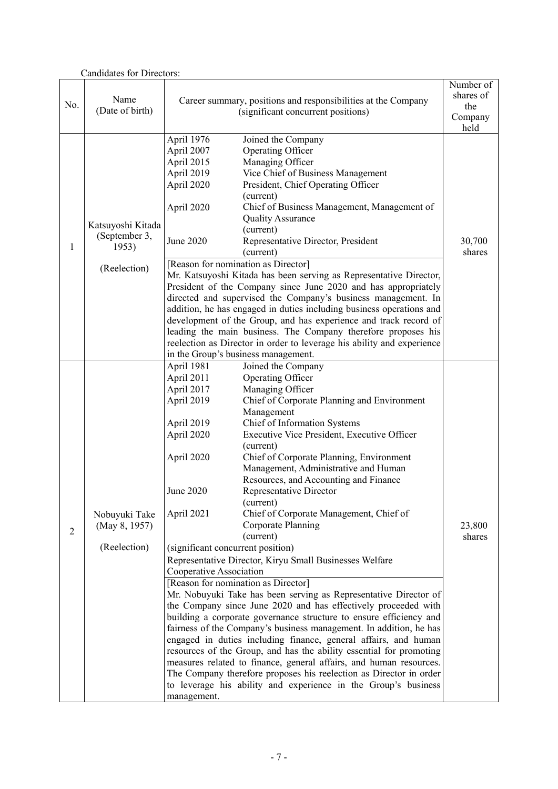| <b>Candidates for Directors:</b> |                   |                                                                                                     |                                                                        |           |
|----------------------------------|-------------------|-----------------------------------------------------------------------------------------------------|------------------------------------------------------------------------|-----------|
|                                  |                   |                                                                                                     |                                                                        | Number of |
|                                  | Name              | Career summary, positions and responsibilities at the Company<br>(significant concurrent positions) |                                                                        | shares of |
| No.                              | (Date of birth)   |                                                                                                     |                                                                        | the       |
|                                  |                   |                                                                                                     |                                                                        | Company   |
|                                  |                   |                                                                                                     |                                                                        | held      |
|                                  |                   | April 1976                                                                                          | Joined the Company                                                     |           |
|                                  |                   | April 2007                                                                                          | Operating Officer                                                      |           |
|                                  |                   | April 2015                                                                                          | Managing Officer                                                       |           |
|                                  |                   | April 2019                                                                                          | Vice Chief of Business Management                                      |           |
|                                  |                   | April 2020                                                                                          | President, Chief Operating Officer                                     |           |
|                                  |                   |                                                                                                     | (current)<br>Chief of Business Management, Management of               |           |
|                                  |                   | April 2020                                                                                          | <b>Quality Assurance</b>                                               |           |
|                                  | Katsuyoshi Kitada |                                                                                                     | (current)                                                              |           |
|                                  | (September 3,     | June 2020                                                                                           | Representative Director, President                                     | 30,700    |
| 1                                | 1953)             |                                                                                                     | (current)                                                              | shares    |
|                                  |                   |                                                                                                     | [Reason for nomination as Director]                                    |           |
|                                  | (Reelection)      |                                                                                                     | Mr. Katsuyoshi Kitada has been serving as Representative Director,     |           |
|                                  |                   |                                                                                                     | President of the Company since June 2020 and has appropriately         |           |
|                                  |                   |                                                                                                     | directed and supervised the Company's business management. In          |           |
|                                  |                   |                                                                                                     | addition, he has engaged in duties including business operations and   |           |
|                                  |                   |                                                                                                     | development of the Group, and has experience and track record of       |           |
|                                  |                   |                                                                                                     | leading the main business. The Company therefore proposes his          |           |
|                                  |                   |                                                                                                     | reelection as Director in order to leverage his ability and experience |           |
|                                  |                   |                                                                                                     | in the Group's business management.                                    |           |
|                                  |                   | April 1981                                                                                          | Joined the Company                                                     |           |
|                                  |                   | April 2011                                                                                          | Operating Officer                                                      |           |
|                                  |                   | April 2017                                                                                          | Managing Officer                                                       |           |
|                                  |                   | April 2019                                                                                          | Chief of Corporate Planning and Environment                            |           |
|                                  |                   |                                                                                                     | Management                                                             |           |
|                                  |                   | April 2019                                                                                          | Chief of Information Systems                                           |           |
|                                  |                   | April 2020                                                                                          | Executive Vice President, Executive Officer                            |           |
|                                  |                   |                                                                                                     | (current)                                                              |           |
|                                  |                   | April 2020                                                                                          | Chief of Corporate Planning, Environment                               |           |
|                                  |                   |                                                                                                     | Management, Administrative and Human                                   |           |
|                                  |                   | June 2020                                                                                           | Resources, and Accounting and Finance<br>Representative Director       |           |
|                                  |                   |                                                                                                     | (current)                                                              |           |
|                                  |                   | April 2021                                                                                          | Chief of Corporate Management, Chief of                                |           |
|                                  | Nobuyuki Take     |                                                                                                     | Corporate Planning                                                     | 23,800    |
| $\overline{2}$                   | (May 8, 1957)     |                                                                                                     | (current)                                                              | shares    |
|                                  | (Reelection)      | (significant concurrent position)                                                                   |                                                                        |           |
|                                  |                   |                                                                                                     | Representative Director, Kiryu Small Businesses Welfare                |           |
|                                  |                   | Cooperative Association                                                                             |                                                                        |           |
|                                  |                   |                                                                                                     | [Reason for nomination as Director]                                    |           |
|                                  |                   |                                                                                                     | Mr. Nobuyuki Take has been serving as Representative Director of       |           |
|                                  |                   |                                                                                                     | the Company since June 2020 and has effectively proceeded with         |           |
|                                  |                   |                                                                                                     | building a corporate governance structure to ensure efficiency and     |           |
|                                  |                   |                                                                                                     | fairness of the Company's business management. In addition, he has     |           |
|                                  |                   |                                                                                                     | engaged in duties including finance, general affairs, and human        |           |
|                                  |                   |                                                                                                     | resources of the Group, and has the ability essential for promoting    |           |
|                                  |                   |                                                                                                     | measures related to finance, general affairs, and human resources.     |           |
|                                  |                   |                                                                                                     | The Company therefore proposes his reelection as Director in order     |           |
|                                  |                   |                                                                                                     | to leverage his ability and experience in the Group's business         |           |
|                                  |                   | management.                                                                                         |                                                                        |           |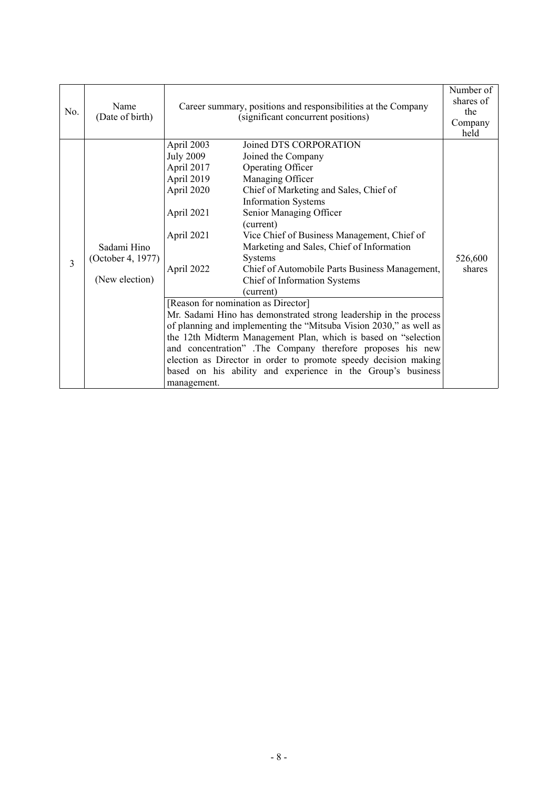| No. | Name<br>(Date of birth)                            | Career summary, positions and responsibilities at the Company<br>(significant concurrent positions)                               |                                                                                                                                                                                                                                                                                                                                                                                                                                                                                                                                                                                                                                                                                                                                                                                                                                                                 | Number of<br>shares of<br>the<br>Company<br>held |
|-----|----------------------------------------------------|-----------------------------------------------------------------------------------------------------------------------------------|-----------------------------------------------------------------------------------------------------------------------------------------------------------------------------------------------------------------------------------------------------------------------------------------------------------------------------------------------------------------------------------------------------------------------------------------------------------------------------------------------------------------------------------------------------------------------------------------------------------------------------------------------------------------------------------------------------------------------------------------------------------------------------------------------------------------------------------------------------------------|--------------------------------------------------|
| 3   | Sadami Hino<br>(October 4, 1977)<br>(New election) | April 2003<br><b>July 2009</b><br>April 2017<br>April 2019<br>April 2020<br>April 2021<br>April 2021<br>April 2022<br>management. | Joined DTS CORPORATION<br>Joined the Company<br>Operating Officer<br>Managing Officer<br>Chief of Marketing and Sales, Chief of<br><b>Information Systems</b><br>Senior Managing Officer<br>(current)<br>Vice Chief of Business Management, Chief of<br>Marketing and Sales, Chief of Information<br>Systems<br>Chief of Automobile Parts Business Management,<br>Chief of Information Systems<br>(current)<br>[Reason for nomination as Director]<br>Mr. Sadami Hino has demonstrated strong leadership in the process<br>of planning and implementing the "Mitsuba Vision 2030," as well as<br>the 12th Midterm Management Plan, which is based on "selection<br>and concentration" .The Company therefore proposes his new<br>election as Director in order to promote speedy decision making<br>based on his ability and experience in the Group's business | 526,600<br>shares                                |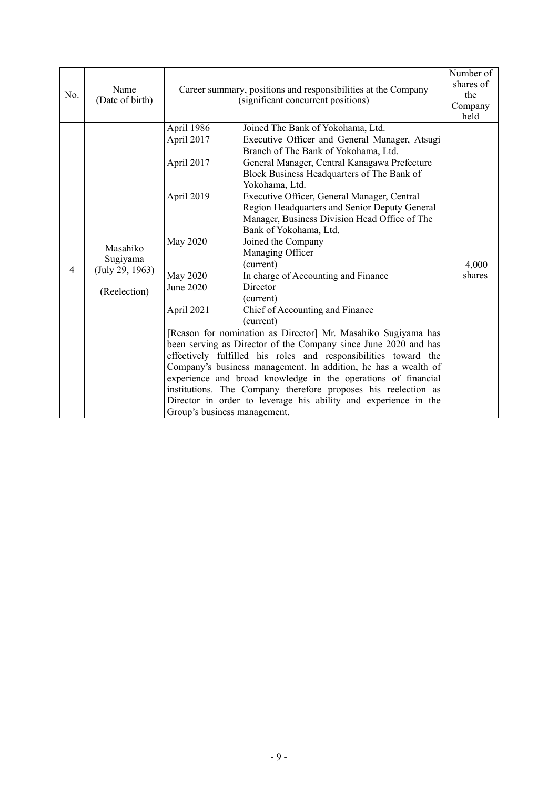| No. | Name<br>(Date of birth)                                 | Career summary, positions and responsibilities at the Company<br>(significant concurrent positions)                                            |                                                                                                                                                                                                                                                                                                                                                                                                                                                                                                                                                                                                                                                                                                                                                                                                                                                                                                                                                                                                                                                                             | Number of<br>shares of<br>the<br>Company<br>held |
|-----|---------------------------------------------------------|------------------------------------------------------------------------------------------------------------------------------------------------|-----------------------------------------------------------------------------------------------------------------------------------------------------------------------------------------------------------------------------------------------------------------------------------------------------------------------------------------------------------------------------------------------------------------------------------------------------------------------------------------------------------------------------------------------------------------------------------------------------------------------------------------------------------------------------------------------------------------------------------------------------------------------------------------------------------------------------------------------------------------------------------------------------------------------------------------------------------------------------------------------------------------------------------------------------------------------------|--------------------------------------------------|
| 4   | Masahiko<br>Sugiyama<br>(July 29, 1963)<br>(Reelection) | April 1986<br>April 2017<br>April 2017<br>April 2019<br>May 2020<br><b>May 2020</b><br>June 2020<br>April 2021<br>Group's business management. | Joined The Bank of Yokohama, Ltd.<br>Executive Officer and General Manager, Atsugi<br>Branch of The Bank of Yokohama, Ltd.<br>General Manager, Central Kanagawa Prefecture<br>Block Business Headquarters of The Bank of<br>Yokohama, Ltd.<br>Executive Officer, General Manager, Central<br>Region Headquarters and Senior Deputy General<br>Manager, Business Division Head Office of The<br>Bank of Yokohama, Ltd.<br>Joined the Company<br>Managing Officer<br>(current)<br>In charge of Accounting and Finance<br>Director<br>(current)<br>Chief of Accounting and Finance<br>(current)<br>[Reason for nomination as Director] Mr. Masahiko Sugiyama has<br>been serving as Director of the Company since June 2020 and has<br>effectively fulfilled his roles and responsibilities toward the<br>Company's business management. In addition, he has a wealth of<br>experience and broad knowledge in the operations of financial<br>institutions. The Company therefore proposes his reelection as<br>Director in order to leverage his ability and experience in the | 4,000<br>shares                                  |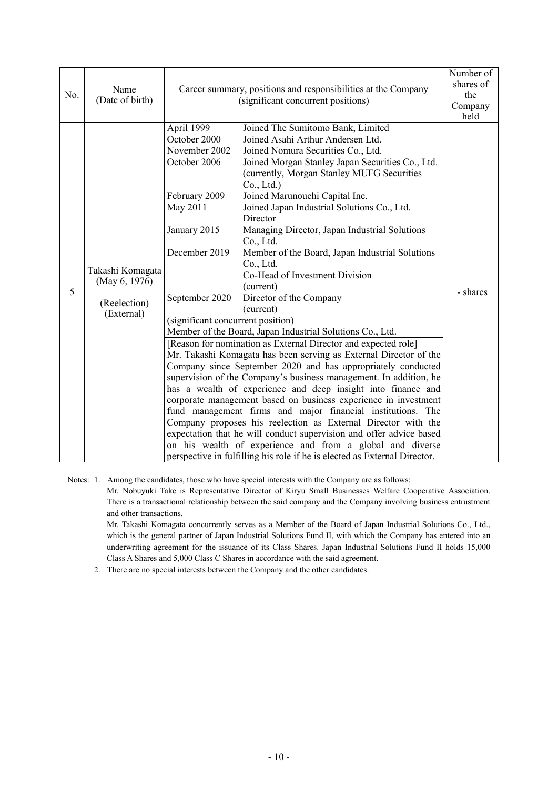| No. | Name<br>(Date of birth)                                         | Career summary, positions and responsibilities at the Company<br>(significant concurrent positions)                                                                              |                                                                                                                                                                                                                                                                                                                                                                                                                                                                                                                                                                                                                                                                                                                                                                                                                                                                                                                                                                                                                                                                                                                                                                                                                                                                                                                                                                             | Number of<br>shares of<br>the<br>Company<br>held |
|-----|-----------------------------------------------------------------|----------------------------------------------------------------------------------------------------------------------------------------------------------------------------------|-----------------------------------------------------------------------------------------------------------------------------------------------------------------------------------------------------------------------------------------------------------------------------------------------------------------------------------------------------------------------------------------------------------------------------------------------------------------------------------------------------------------------------------------------------------------------------------------------------------------------------------------------------------------------------------------------------------------------------------------------------------------------------------------------------------------------------------------------------------------------------------------------------------------------------------------------------------------------------------------------------------------------------------------------------------------------------------------------------------------------------------------------------------------------------------------------------------------------------------------------------------------------------------------------------------------------------------------------------------------------------|--------------------------------------------------|
| 5   | Takashi Komagata<br>(May 6, 1976)<br>(Reelection)<br>(External) | April 1999<br>October 2000<br>November 2002<br>October 2006<br>February 2009<br>May 2011<br>January 2015<br>December 2019<br>September 2020<br>(significant concurrent position) | Joined The Sumitomo Bank, Limited<br>Joined Asahi Arthur Andersen Ltd.<br>Joined Nomura Securities Co., Ltd.<br>Joined Morgan Stanley Japan Securities Co., Ltd.<br>(currently, Morgan Stanley MUFG Securities<br>Co., Ltd.)<br>Joined Marunouchi Capital Inc.<br>Joined Japan Industrial Solutions Co., Ltd.<br>Director<br>Managing Director, Japan Industrial Solutions<br>Co., Ltd.<br>Member of the Board, Japan Industrial Solutions<br>Co., Ltd.<br>Co-Head of Investment Division<br>(current)<br>Director of the Company<br>(current)<br>Member of the Board, Japan Industrial Solutions Co., Ltd.<br>[Reason for nomination as External Director and expected role]<br>Mr. Takashi Komagata has been serving as External Director of the<br>Company since September 2020 and has appropriately conducted<br>supervision of the Company's business management. In addition, he<br>has a wealth of experience and deep insight into finance and<br>corporate management based on business experience in investment<br>fund management firms and major financial institutions. The<br>Company proposes his reelection as External Director with the<br>expectation that he will conduct supervision and offer advice based<br>on his wealth of experience and from a global and diverse<br>perspective in fulfilling his role if he is elected as External Director. | - shares                                         |

Notes: 1. Among the candidates, those who have special interests with the Company are as follows:

Mr. Nobuyuki Take is Representative Director of Kiryu Small Businesses Welfare Cooperative Association. There is a transactional relationship between the said company and the Company involving business entrustment and other transactions.

Mr. Takashi Komagata concurrently serves as a Member of the Board of Japan Industrial Solutions Co., Ltd., which is the general partner of Japan Industrial Solutions Fund II, with which the Company has entered into an underwriting agreement for the issuance of its Class Shares. Japan Industrial Solutions Fund II holds 15,000 Class A Shares and 5,000 Class C Shares in accordance with the said agreement.

2. There are no special interests between the Company and the other candidates.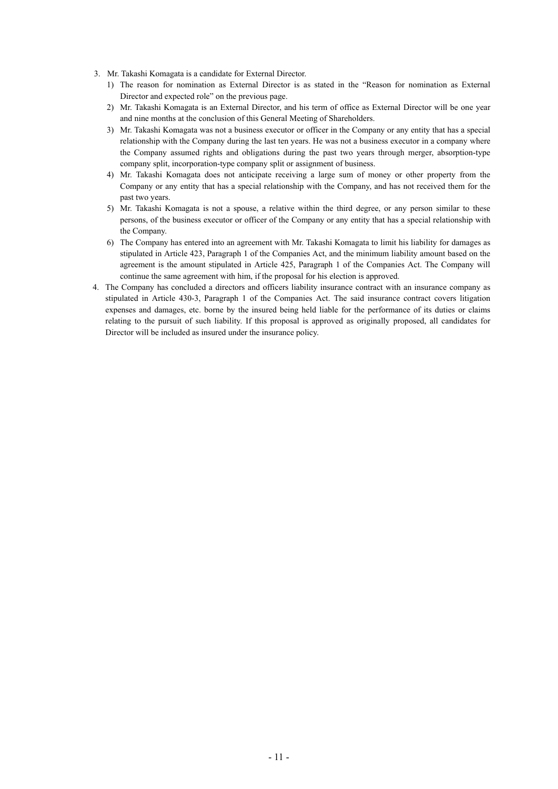- 3. Mr. Takashi Komagata is a candidate for External Director.
	- 1) The reason for nomination as External Director is as stated in the "Reason for nomination as External Director and expected role" on the previous page.
	- 2) Mr. Takashi Komagata is an External Director, and his term of office as External Director will be one year and nine months at the conclusion of this General Meeting of Shareholders.
	- 3) Mr. Takashi Komagata was not a business executor or officer in the Company or any entity that has a special relationship with the Company during the last ten years. He was not a business executor in a company where the Company assumed rights and obligations during the past two years through merger, absorption-type company split, incorporation-type company split or assignment of business.
	- 4) Mr. Takashi Komagata does not anticipate receiving a large sum of money or other property from the Company or any entity that has a special relationship with the Company, and has not received them for the past two years.
	- 5) Mr. Takashi Komagata is not a spouse, a relative within the third degree, or any person similar to these persons, of the business executor or officer of the Company or any entity that has a special relationship with the Company.
	- 6) The Company has entered into an agreement with Mr. Takashi Komagata to limit his liability for damages as stipulated in Article 423, Paragraph 1 of the Companies Act, and the minimum liability amount based on the agreement is the amount stipulated in Article 425, Paragraph 1 of the Companies Act. The Company will continue the same agreement with him, if the proposal for his election is approved.
- 4. The Company has concluded a directors and officers liability insurance contract with an insurance company as stipulated in Article 430-3, Paragraph 1 of the Companies Act. The said insurance contract covers litigation expenses and damages, etc. borne by the insured being held liable for the performance of its duties or claims relating to the pursuit of such liability. If this proposal is approved as originally proposed, all candidates for Director will be included as insured under the insurance policy.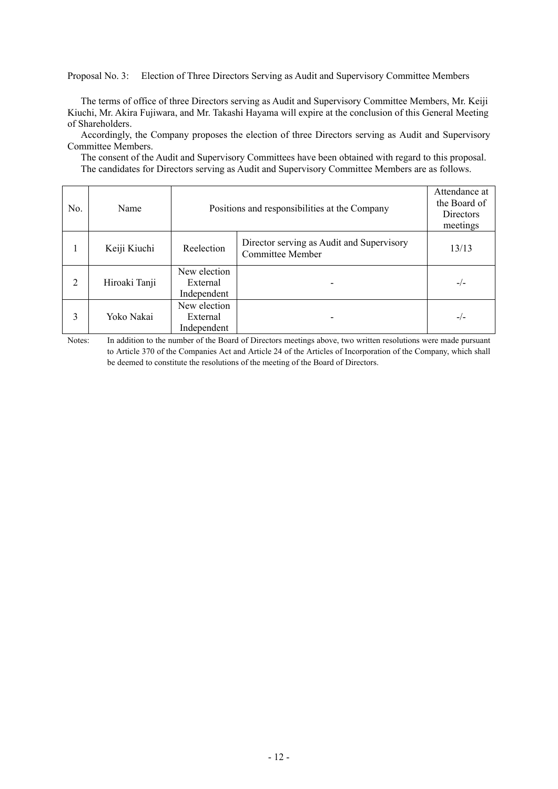Proposal No. 3:Election of Three Directors Serving as Audit and Supervisory Committee Members

The terms of office of three Directors serving as Audit and Supervisory Committee Members, Mr. Keiji Kiuchi, Mr. Akira Fujiwara, and Mr. Takashi Hayama will expire at the conclusion of this General Meeting of Shareholders.

Accordingly, the Company proposes the election of three Directors serving as Audit and Supervisory Committee Members.

The consent of the Audit and Supervisory Committees have been obtained with regard to this proposal. The candidates for Directors serving as Audit and Supervisory Committee Members are as follows.

| No.            | Name          | Positions and responsibilities at the Company |                                                                      | Attendance at<br>the Board of<br><b>Directors</b><br>meetings |
|----------------|---------------|-----------------------------------------------|----------------------------------------------------------------------|---------------------------------------------------------------|
|                | Keiji Kiuchi  | Reelection                                    | Director serving as Audit and Supervisory<br><b>Committee Member</b> | 13/13                                                         |
| $\overline{2}$ | Hiroaki Tanji | New election<br>External<br>Independent       |                                                                      | $-/-$                                                         |
| 3              | Yoko Nakai    | New election<br>External<br>Independent       |                                                                      | $-/-$                                                         |

Notes: In addition to the number of the Board of Directors meetings above, two written resolutions were made pursuant to Article 370 of the Companies Act and Article 24 of the Articles of Incorporation of the Company, which shall be deemed to constitute the resolutions of the meeting of the Board of Directors.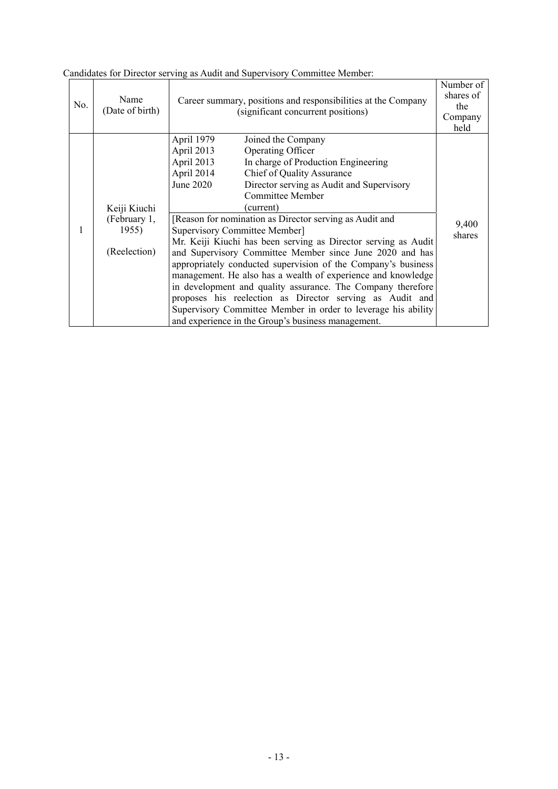| No. | Name<br>(Date of birth)                               | Career summary, positions and responsibilities at the Company<br>(significant concurrent positions)                                                                                                                                                                                                                                                                                                                                                                                                                                                                                                                                                                                                                                                                                                                                                                                 | Number of<br>shares of<br>the<br>Company<br>held |
|-----|-------------------------------------------------------|-------------------------------------------------------------------------------------------------------------------------------------------------------------------------------------------------------------------------------------------------------------------------------------------------------------------------------------------------------------------------------------------------------------------------------------------------------------------------------------------------------------------------------------------------------------------------------------------------------------------------------------------------------------------------------------------------------------------------------------------------------------------------------------------------------------------------------------------------------------------------------------|--------------------------------------------------|
|     | Keiji Kiuchi<br>(February 1,<br>1955)<br>(Reelection) | April 1979<br>Joined the Company<br>April 2013<br>Operating Officer<br>April 2013<br>In charge of Production Engineering<br>April 2014<br>Chief of Quality Assurance<br>June 2020<br>Director serving as Audit and Supervisory<br><b>Committee Member</b><br>(current)<br>[Reason for nomination as Director serving as Audit and<br>Supervisory Committee Member]<br>Mr. Keiji Kiuchi has been serving as Director serving as Audit<br>and Supervisory Committee Member since June 2020 and has<br>appropriately conducted supervision of the Company's business<br>management. He also has a wealth of experience and knowledge<br>in development and quality assurance. The Company therefore<br>proposes his reelection as Director serving as Audit and<br>Supervisory Committee Member in order to leverage his ability<br>and experience in the Group's business management. | 9,400<br>shares                                  |

Candidates for Director serving as Audit and Supervisory Committee Member: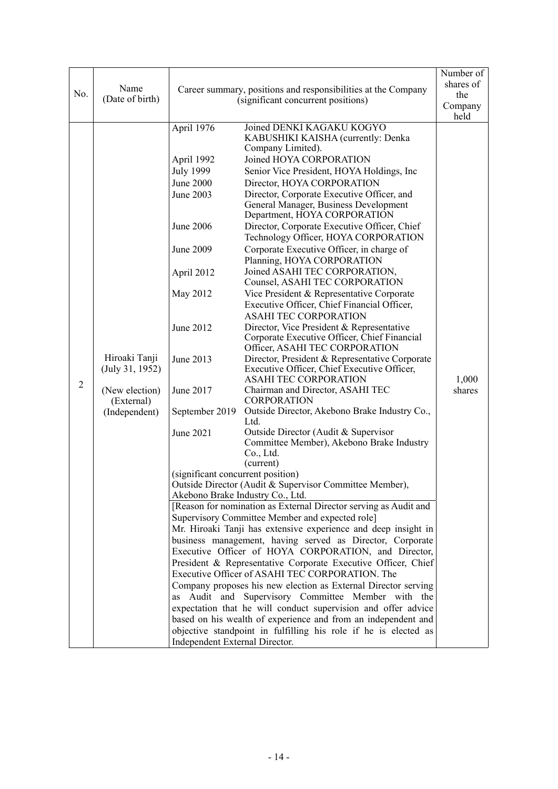| No.            | Name<br>(Date of birth)                                                           | Career summary, positions and responsibilities at the Company<br>(significant concurrent positions)                                                                                                                                                                                                         |                                                                                                                                                                                                                                                                                                                                                                                                                                                                                                                                                                                                                                                                                                                                                                                                                                                                                                                                                                                                                                                                                                                                                                                                                                                                                                                                                                                                                                                                                                                                                                                                                                                                                                                                                                                                                                                                                                                                                                                                                  | Number of<br>shares of<br>the<br>Company<br>held |
|----------------|-----------------------------------------------------------------------------------|-------------------------------------------------------------------------------------------------------------------------------------------------------------------------------------------------------------------------------------------------------------------------------------------------------------|------------------------------------------------------------------------------------------------------------------------------------------------------------------------------------------------------------------------------------------------------------------------------------------------------------------------------------------------------------------------------------------------------------------------------------------------------------------------------------------------------------------------------------------------------------------------------------------------------------------------------------------------------------------------------------------------------------------------------------------------------------------------------------------------------------------------------------------------------------------------------------------------------------------------------------------------------------------------------------------------------------------------------------------------------------------------------------------------------------------------------------------------------------------------------------------------------------------------------------------------------------------------------------------------------------------------------------------------------------------------------------------------------------------------------------------------------------------------------------------------------------------------------------------------------------------------------------------------------------------------------------------------------------------------------------------------------------------------------------------------------------------------------------------------------------------------------------------------------------------------------------------------------------------------------------------------------------------------------------------------------------------|--------------------------------------------------|
| $\overline{2}$ | Hiroaki Tanji<br>(July 31, 1952)<br>(New election)<br>(External)<br>(Independent) | April 1976<br>April 1992<br><b>July 1999</b><br>June 2000<br>June 2003<br>June 2006<br>June 2009<br>April 2012<br>May 2012<br>June 2012<br>June 2013<br>June 2017<br>September 2019<br>June 2021<br>(significant concurrent position)<br>Akebono Brake Industry Co., Ltd.<br>Independent External Director. | Joined DENKI KAGAKU KOGYO<br>KABUSHIKI KAISHA (currently: Denka<br>Company Limited).<br>Joined HOYA CORPORATION<br>Senior Vice President, HOYA Holdings, Inc.<br>Director, HOYA CORPORATION<br>Director, Corporate Executive Officer, and<br>General Manager, Business Development<br>Department, HOYA CORPORATION<br>Director, Corporate Executive Officer, Chief<br>Technology Officer, HOYA CORPORATION<br>Corporate Executive Officer, in charge of<br>Planning, HOYA CORPORATION<br>Joined ASAHI TEC CORPORATION,<br>Counsel, ASAHI TEC CORPORATION<br>Vice President & Representative Corporate<br>Executive Officer, Chief Financial Officer,<br><b>ASAHI TEC CORPORATION</b><br>Director, Vice President & Representative<br>Corporate Executive Officer, Chief Financial<br>Officer, ASAHI TEC CORPORATION<br>Director, President & Representative Corporate<br>Executive Officer, Chief Executive Officer,<br><b>ASAHI TEC CORPORATION</b><br>Chairman and Director, ASAHI TEC<br><b>CORPORATION</b><br>Outside Director, Akebono Brake Industry Co.,<br>Ltd.<br>Outside Director (Audit & Supervisor<br>Committee Member), Akebono Brake Industry<br>Co., Ltd.<br>(current)<br>Outside Director (Audit & Supervisor Committee Member),<br>[Reason for nomination as External Director serving as Audit and<br>Supervisory Committee Member and expected role]<br>Mr. Hiroaki Tanji has extensive experience and deep insight in<br>business management, having served as Director, Corporate<br>Executive Officer of HOYA CORPORATION, and Director,<br>President & Representative Corporate Executive Officer, Chief<br>Executive Officer of ASAHI TEC CORPORATION. The<br>Company proposes his new election as External Director serving<br>as Audit and Supervisory Committee Member with the<br>expectation that he will conduct supervision and offer advice<br>based on his wealth of experience and from an independent and<br>objective standpoint in fulfilling his role if he is elected as | 1,000<br>shares                                  |